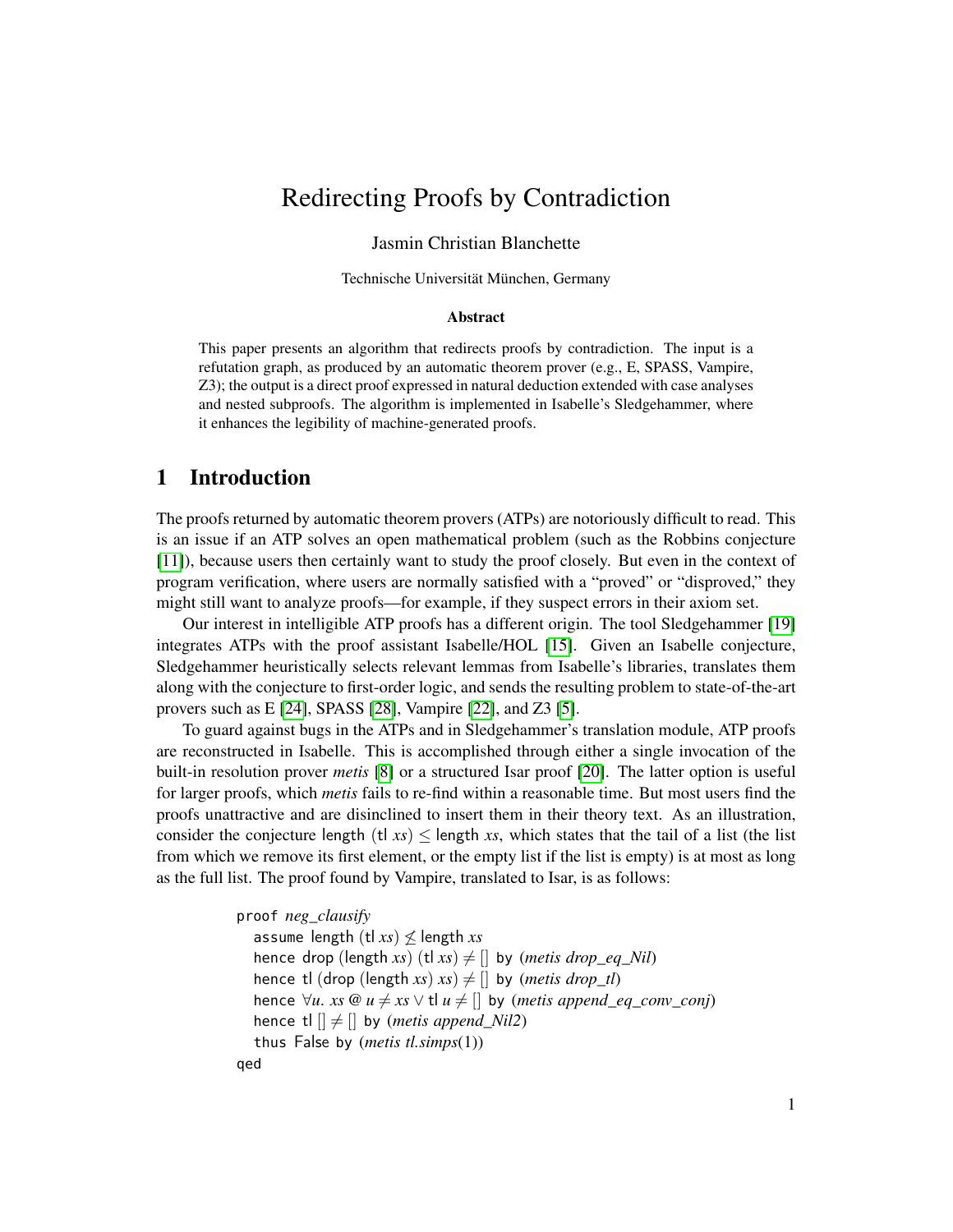# Redirecting Proofs by Contradiction

#### Jasmin Christian Blanchette

Technische Universität München, Germany

#### Abstract

This paper presents an algorithm that redirects proofs by contradiction. The input is a refutation graph, as produced by an automatic theorem prover (e.g., E, SPASS, Vampire, Z3); the output is a direct proof expressed in natural deduction extended with case analyses and nested subproofs. The algorithm is implemented in Isabelle's Sledgehammer, where it enhances the legibility of machine-generated proofs.

#### 1 Introduction

The proofs returned by automatic theorem provers (ATPs) are notoriously difficult to read. This is an issue if an ATP solves an open mathematical problem (such as the Robbins conjecture [\[11\]](#page-14-0)), because users then certainly want to study the proof closely. But even in the context of program verification, where users are normally satisfied with a "proved" or "disproved," they might still want to analyze proofs—for example, if they suspect errors in their axiom set.

Our interest in intelligible ATP proofs has a different origin. The tool Sledgehammer [\[19\]](#page-15-0) integrates ATPs with the proof assistant Isabelle/HOL [\[15\]](#page-15-1). Given an Isabelle conjecture, Sledgehammer heuristically selects relevant lemmas from Isabelle's libraries, translates them along with the conjecture to first-order logic, and sends the resulting problem to state-of-the-art provers such as E [\[24\]](#page-15-2), SPASS [\[28\]](#page-15-3), Vampire [\[22\]](#page-15-4), and Z3 [\[5\]](#page-14-1).

To guard against bugs in the ATPs and in Sledgehammer's translation module, ATP proofs are reconstructed in Isabelle. This is accomplished through either a single invocation of the built-in resolution prover *metis* [\[8\]](#page-14-2) or a structured Isar proof [\[20\]](#page-15-5). The latter option is useful for larger proofs, which *metis* fails to re-find within a reasonable time. But most users find the proofs unattractive and are disinclined to insert them in their theory text. As an illustration, consider the conjecture length (tl  $xs$ )  $\leq$  length *xs*, which states that the tail of a list (the list from which we remove its first element, or the empty list if the list is empty) is at most as long as the full list. The proof found by Vampire, translated to Isar, is as follows:

```
proof neg_clausify
  assume length (t|x) \nleq length xs
  hence drop (length xs) (tl xs) \neq [] by (metis drop_eq_Nil)
  hence tl (drop (length xs) xs) \neq [] by (metis drop_tl)
  hence ∀u. xs @u ≠ xs ∨ t| u ≠ [] by (metis append_eq_conv_conj)
  hence t|| \neq || by (metis append Nil2)
  thus False by (metis tl.simps(1))
qed
```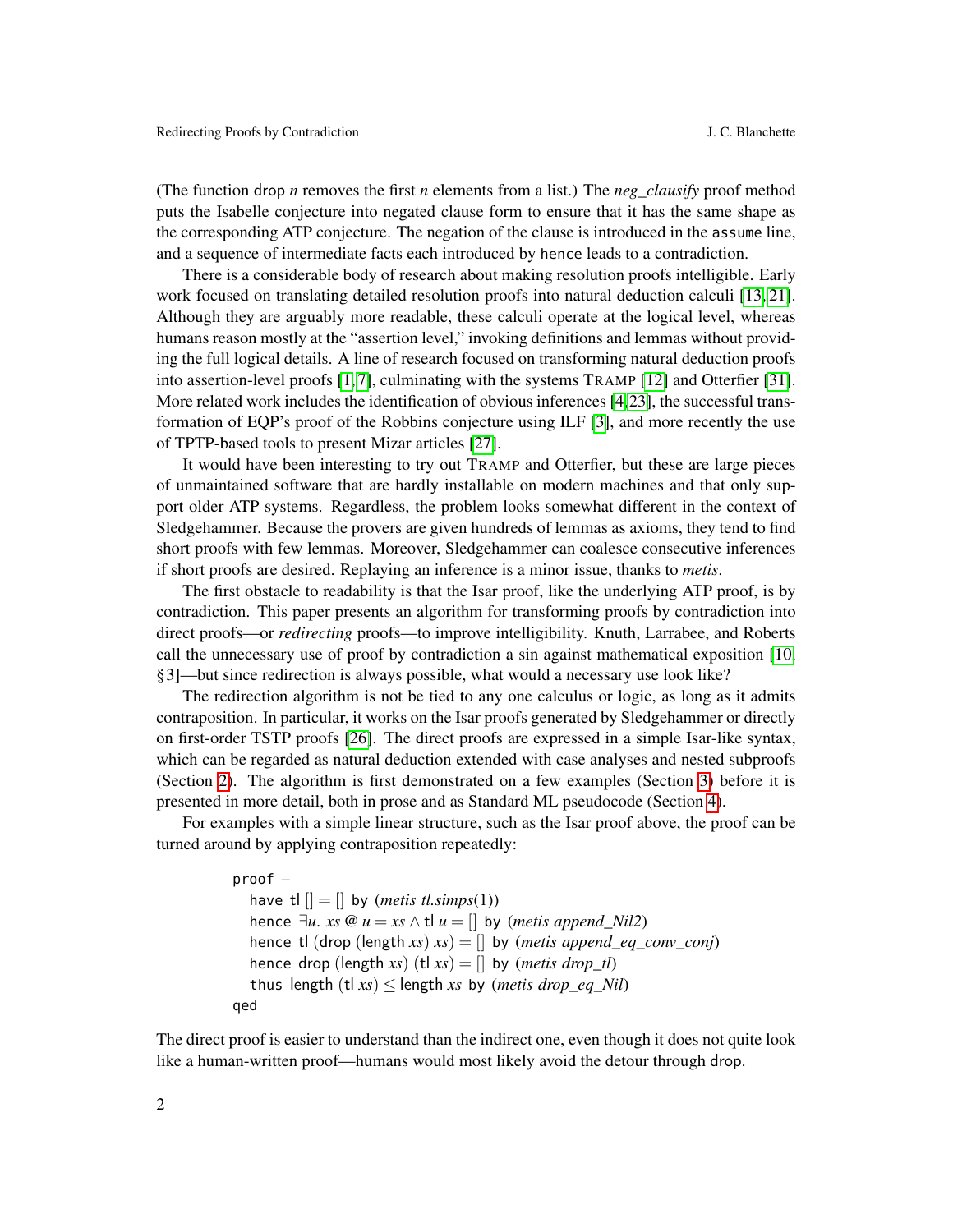(The function drop *n* removes the first *n* elements from a list.) The *neg\_clausify* proof method puts the Isabelle conjecture into negated clause form to ensure that it has the same shape as the corresponding ATP conjecture. The negation of the clause is introduced in the assume line, and a sequence of intermediate facts each introduced by hence leads to a contradiction.

There is a considerable body of research about making resolution proofs intelligible. Early work focused on translating detailed resolution proofs into natural deduction calculi [\[13,](#page-14-3) [21\]](#page-15-6). Although they are arguably more readable, these calculi operate at the logical level, whereas humans reason mostly at the "assertion level," invoking definitions and lemmas without providing the full logical details. A line of research focused on transforming natural deduction proofs into assertion-level proofs [\[1,](#page-14-4) [7\]](#page-14-5), culminating with the systems TRAMP [\[12\]](#page-14-6) and Otterfier [\[31\]](#page-15-7). More related work includes the identification of obvious inferences [\[4,](#page-14-7)[23\]](#page-15-8), the successful transformation of EQP's proof of the Robbins conjecture using ILF [\[3\]](#page-14-8), and more recently the use of TPTP-based tools to present Mizar articles [\[27\]](#page-15-9).

It would have been interesting to try out TRAMP and Otterfier, but these are large pieces of unmaintained software that are hardly installable on modern machines and that only support older ATP systems. Regardless, the problem looks somewhat different in the context of Sledgehammer. Because the provers are given hundreds of lemmas as axioms, they tend to find short proofs with few lemmas. Moreover, Sledgehammer can coalesce consecutive inferences if short proofs are desired. Replaying an inference is a minor issue, thanks to *metis*.

The first obstacle to readability is that the Isar proof, like the underlying ATP proof, is by contradiction. This paper presents an algorithm for transforming proofs by contradiction into direct proofs—or *redirecting* proofs—to improve intelligibility. Knuth, Larrabee, and Roberts call the unnecessary use of proof by contradiction a sin against mathematical exposition [\[10,](#page-14-9) §3]—but since redirection is always possible, what would a necessary use look like?

The redirection algorithm is not be tied to any one calculus or logic, as long as it admits contraposition. In particular, it works on the Isar proofs generated by Sledgehammer or directly on first-order TSTP proofs [\[26\]](#page-15-10). The direct proofs are expressed in a simple Isar-like syntax, which can be regarded as natural deduction extended with case analyses and nested subproofs (Section [2\)](#page-2-0). The algorithm is first demonstrated on a few examples (Section [3\)](#page-4-0) before it is presented in more detail, both in prose and as Standard ML pseudocode (Section [4\)](#page-8-0).

For examples with a simple linear structure, such as the Isar proof above, the proof can be turned around by applying contraposition repeatedly:

```
proof –
  have t|| = || by (metis tl.simps(1))
  hence \exists u. xs @u = xs \wedge tl u = [] by (metis append_Nil2)
  hence tl (drop (length xs) xs) = [] by (metis append_eq_conv_conj)
  hence drop (length xs) (tl xs) = [] by (metis drop_tl)
  thus length (t|x_s) \leq length xs by (metis drop_eq_Nil)
qed
```
The direct proof is easier to understand than the indirect one, even though it does not quite look like a human-written proof—humans would most likely avoid the detour through drop.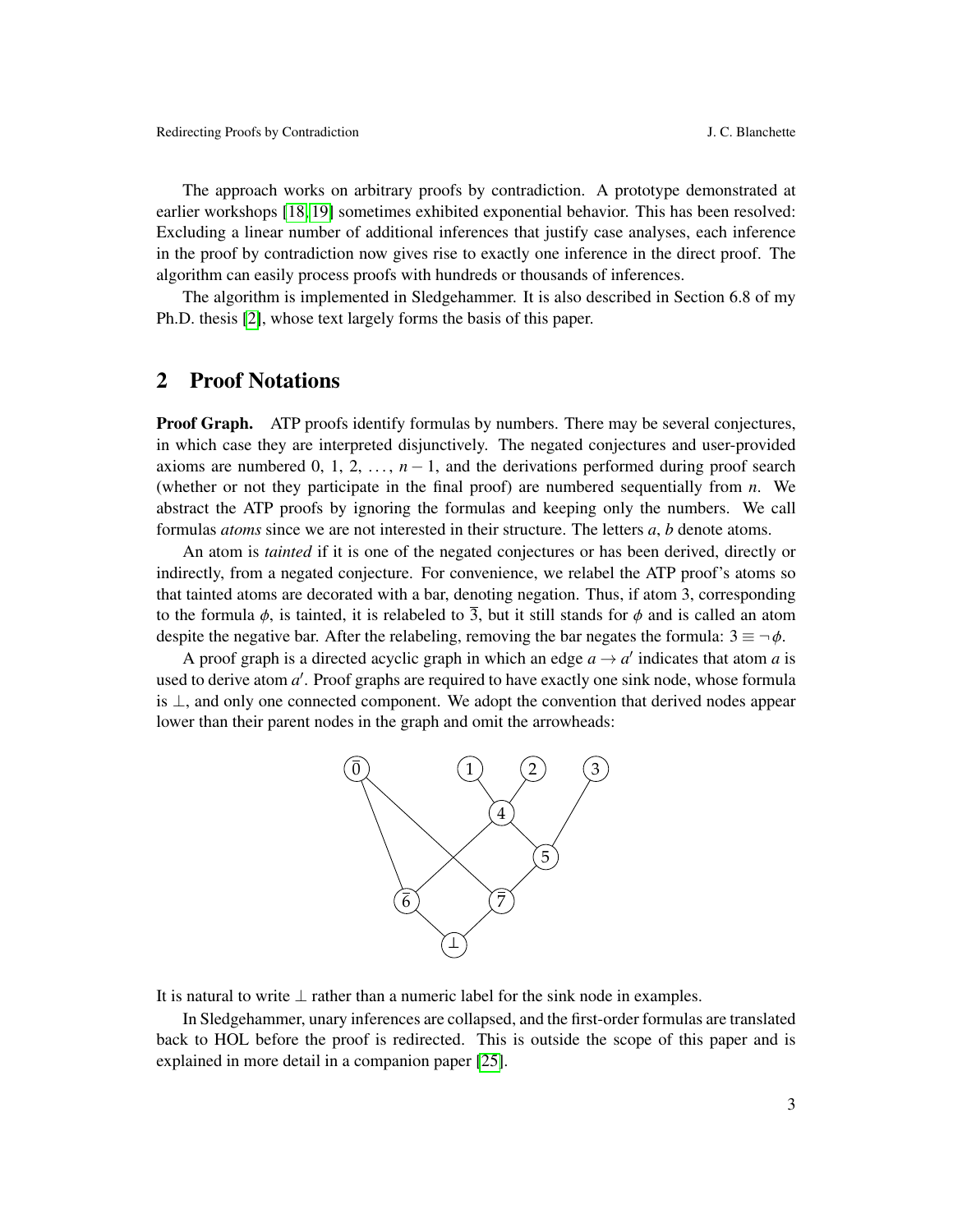The approach works on arbitrary proofs by contradiction. A prototype demonstrated at earlier workshops [\[18,](#page-15-11) [19\]](#page-15-0) sometimes exhibited exponential behavior. This has been resolved: Excluding a linear number of additional inferences that justify case analyses, each inference in the proof by contradiction now gives rise to exactly one inference in the direct proof. The algorithm can easily process proofs with hundreds or thousands of inferences.

The algorithm is implemented in Sledgehammer. It is also described in Section 6.8 of my Ph.D. thesis [\[2\]](#page-14-10), whose text largely forms the basis of this paper.

## <span id="page-2-0"></span>2 Proof Notations

**Proof Graph.** ATP proofs identify formulas by numbers. There may be several conjectures, in which case they are interpreted disjunctively. The negated conjectures and user-provided axioms are numbered 0, 1, 2, ...,  $n-1$ , and the derivations performed during proof search (whether or not they participate in the final proof) are numbered sequentially from *n*. We abstract the ATP proofs by ignoring the formulas and keeping only the numbers. We call formulas *atoms* since we are not interested in their structure. The letters *a*, *b* denote atoms.

An atom is *tainted* if it is one of the negated conjectures or has been derived, directly or indirectly, from a negated conjecture. For convenience, we relabel the ATP proof's atoms so that tainted atoms are decorated with a bar, denoting negation. Thus, if atom 3, corresponding to the formula  $\phi$ , is tainted, it is relabeled to  $\overline{3}$ , but it still stands for  $\phi$  and is called an atom despite the negative bar. After the relabeling, removing the bar negates the formula:  $3 \equiv \neg \phi$ .

A proof graph is a directed acyclic graph in which an edge  $a \rightarrow a'$  indicates that atom *a* is used to derive atom a'. Proof graphs are required to have exactly one sink node, whose formula is ⊥, and only one connected component. We adopt the convention that derived nodes appear lower than their parent nodes in the graph and omit the arrowheads:



It is natural to write  $\perp$  rather than a numeric label for the sink node in examples.

In Sledgehammer, unary inferences are collapsed, and the first-order formulas are translated back to HOL before the proof is redirected. This is outside the scope of this paper and is explained in more detail in a companion paper [\[25\]](#page-15-12).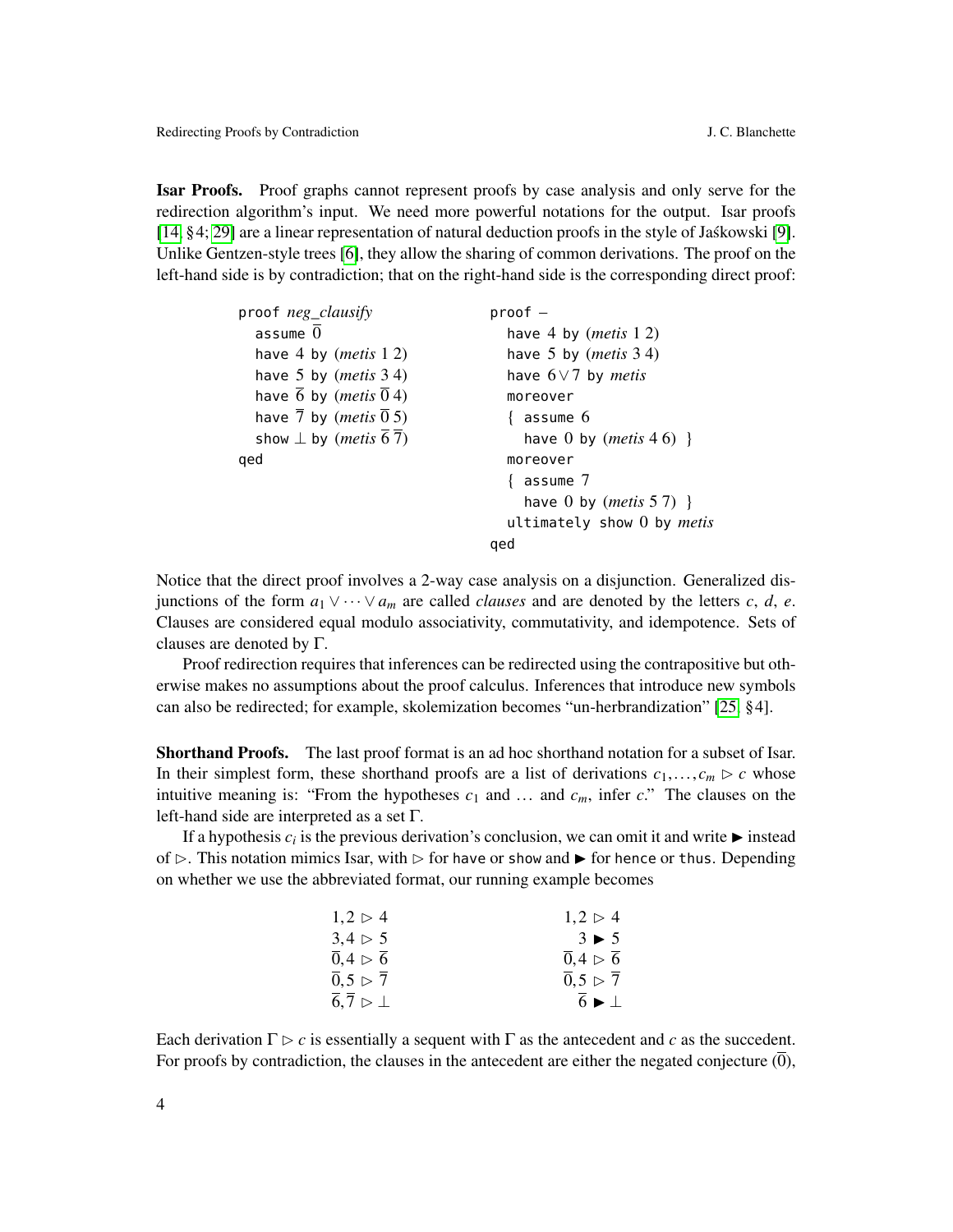Isar Proofs. Proof graphs cannot represent proofs by case analysis and only serve for the redirection algorithm's input. We need more powerful notations for the output. Isar proofs [\[14,](#page-14-11) §4; [29\]](#page-15-13) are a linear representation of natural deduction proofs in the style of Jaskowski [\[9\]](#page-14-12). ´ Unlike Gentzen-style trees [\[6\]](#page-14-13), they allow the sharing of common derivations. The proof on the left-hand side is by contradiction; that on the right-hand side is the corresponding direct proof:

| proof neg_clausify                                      | proof —                           |
|---------------------------------------------------------|-----------------------------------|
| assume $\overline{0}$                                   | have 4 by $(metis 12)$            |
| have 4 by $(metis 12)$                                  | have 5 by $(metis 3 4)$           |
| have 5 by $(metis 34)$                                  | have $6\vee 7$ by <i>metis</i>    |
| have $\overline{6}$ by ( <i>metis</i> $\overline{0}$ 4) | moreover                          |
| have 7 by ( <i>metis</i> $\overline{0}$ 5)              | $\{$ assume $6$                   |
| show $\perp$ by ( <i>metis</i> 67)                      | have 0 by $(metis 46)$ }          |
| qed                                                     | moreover                          |
|                                                         | $\{$ assume $7$                   |
|                                                         | have 0 by $(metis 5 7)$ }         |
|                                                         | ultimately show 0 by <i>metis</i> |
|                                                         | qed                               |

Notice that the direct proof involves a 2-way case analysis on a disjunction. Generalized disjunctions of the form  $a_1 \vee \cdots \vee a_m$  are called *clauses* and are denoted by the letters *c*, *d*, *e*. Clauses are considered equal modulo associativity, commutativity, and idempotence. Sets of clauses are denoted by Γ.

Proof redirection requires that inferences can be redirected using the contrapositive but otherwise makes no assumptions about the proof calculus. Inferences that introduce new symbols can also be redirected; for example, skolemization becomes "un-herbrandization" [\[25,](#page-15-12) §4].

Shorthand Proofs. The last proof format is an ad hoc shorthand notation for a subset of Isar. In their simplest form, these shorthand proofs are a list of derivations  $c_1, \ldots, c_m \triangleright c$  whose intuitive meaning is: "From the hypotheses  $c_1$  and ... and  $c_m$ , infer  $c$ ." The clauses on the left-hand side are interpreted as a set Γ.

If a hypothesis  $c_i$  is the previous derivation's conclusion, we can omit it and write  $\blacktriangleright$  instead of  $\triangleright$ . This notation mimics Isar, with  $\triangleright$  for have or show and  $\triangleright$  for hence or thus. Depending on whether we use the abbreviated format, our running example becomes

| $1.2 \triangleright 4$                | $1.2 \triangleright 4$                       |
|---------------------------------------|----------------------------------------------|
| 3.4 > 5                               | $3 \blacktriangleright 5$                    |
| 0.4 > 6                               | 0.4 > 6                                      |
| $\overline{0}$ , 5 $\triangleright$ 7 | $\overline{0}$ , 5 $\triangleright$ 7        |
| $6.7 \triangleright \bot$             | $\overline{6}$ $\blacktriangleright$ $\perp$ |
|                                       |                                              |

Each derivation  $\Gamma \rhd c$  is essentially a sequent with  $\Gamma$  as the antecedent and *c* as the succedent. For proofs by contradiction, the clauses in the antecedent are either the negated conjecture  $(\overline{0})$ ,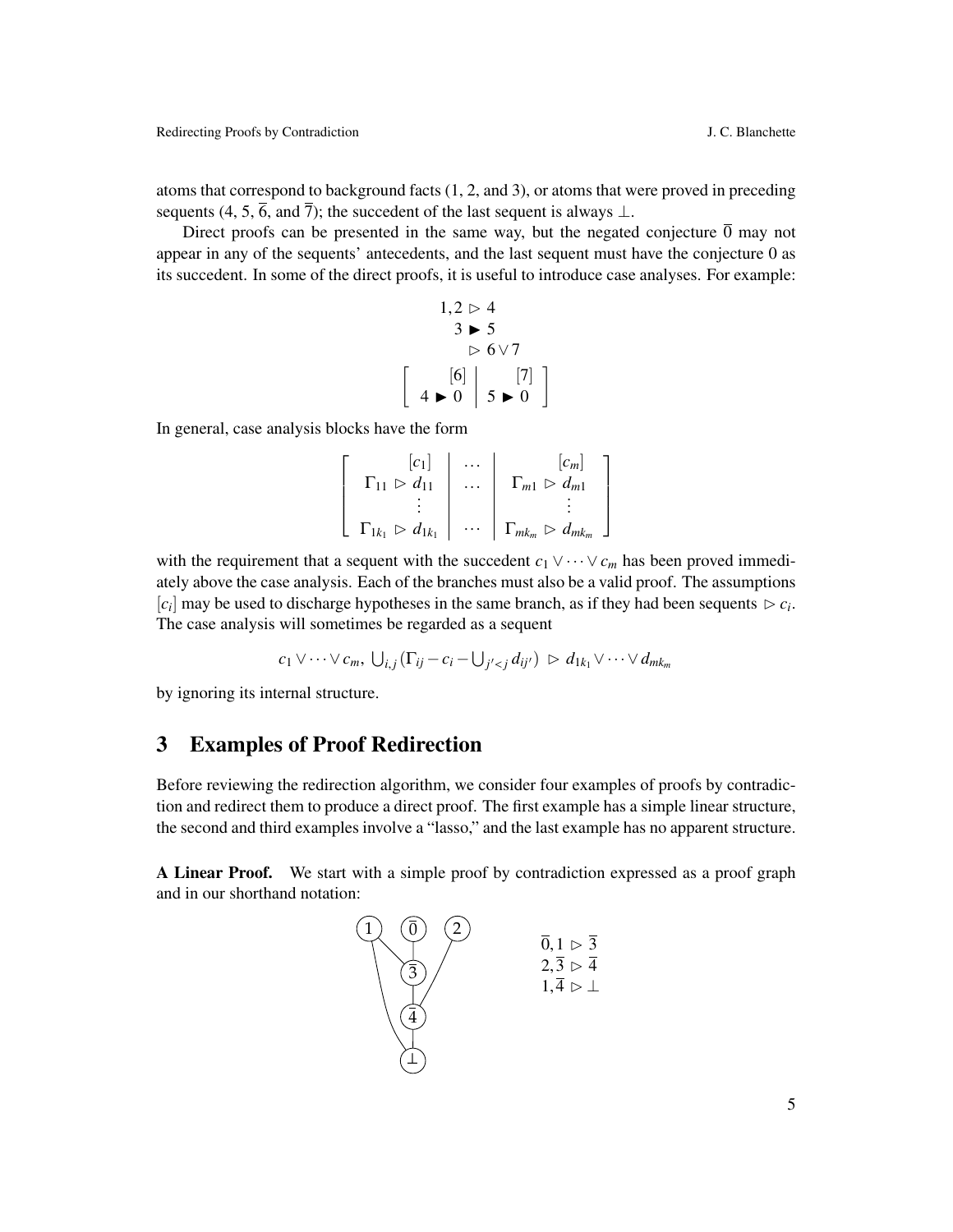atoms that correspond to background facts (1, 2, and 3), or atoms that were proved in preceding sequents (4, 5,  $\overline{6}$ , and  $\overline{7}$ ); the succedent of the last sequent is always  $\perp$ .

Direct proofs can be presented in the same way, but the negated conjecture  $\overline{0}$  may not appear in any of the sequents' antecedents, and the last sequent must have the conjecture 0 as its succedent. In some of the direct proofs, it is useful to introduce case analyses. For example:

$$
1,2 \rhd 4
$$
  
\n
$$
3 \rhd 5
$$
  
\n
$$
\rhd 6 \vee 7
$$
  
\n
$$
\left[ 4 \rhd 0 \right] 5 \rhd 0
$$

In general, case analysis blocks have the form

$$
\left[\begin{array}{ccc} [c_1] & \cdots & [c_m] \\ \Gamma_{11} & \rightarrow d_{11} & \cdots & \Gamma_{m1} & \rightarrow d_{m1} \\ \vdots & \vdots & \ddots & \vdots \\ \Gamma_{1k_1} & \rightarrow d_{1k_1} & \cdots & \Gamma_{mk_m} & \rightarrow d_{mk_m} \end{array}\right]
$$

with the requirement that a sequent with the succedent  $c_1 \vee \cdots \vee c_m$  has been proved immediately above the case analysis. Each of the branches must also be a valid proof. The assumptions  $[c_i]$  may be used to discharge hypotheses in the same branch, as if they had been sequents  $\triangleright c_i$ . The case analysis will sometimes be regarded as a sequent

$$
c_1 \vee \cdots \vee c_m, \bigcup_{i,j} (\Gamma_{ij} - c_i - \bigcup_{j' < j} d_{ij'}) \geq d_{1k_1} \vee \cdots \vee d_{mk_m}
$$

by ignoring its internal structure.

## <span id="page-4-0"></span>3 Examples of Proof Redirection

Before reviewing the redirection algorithm, we consider four examples of proofs by contradiction and redirect them to produce a direct proof. The first example has a simple linear structure, the second and third examples involve a "lasso," and the last example has no apparent structure.

A Linear Proof. We start with a simple proof by contradiction expressed as a proof graph and in our shorthand notation:

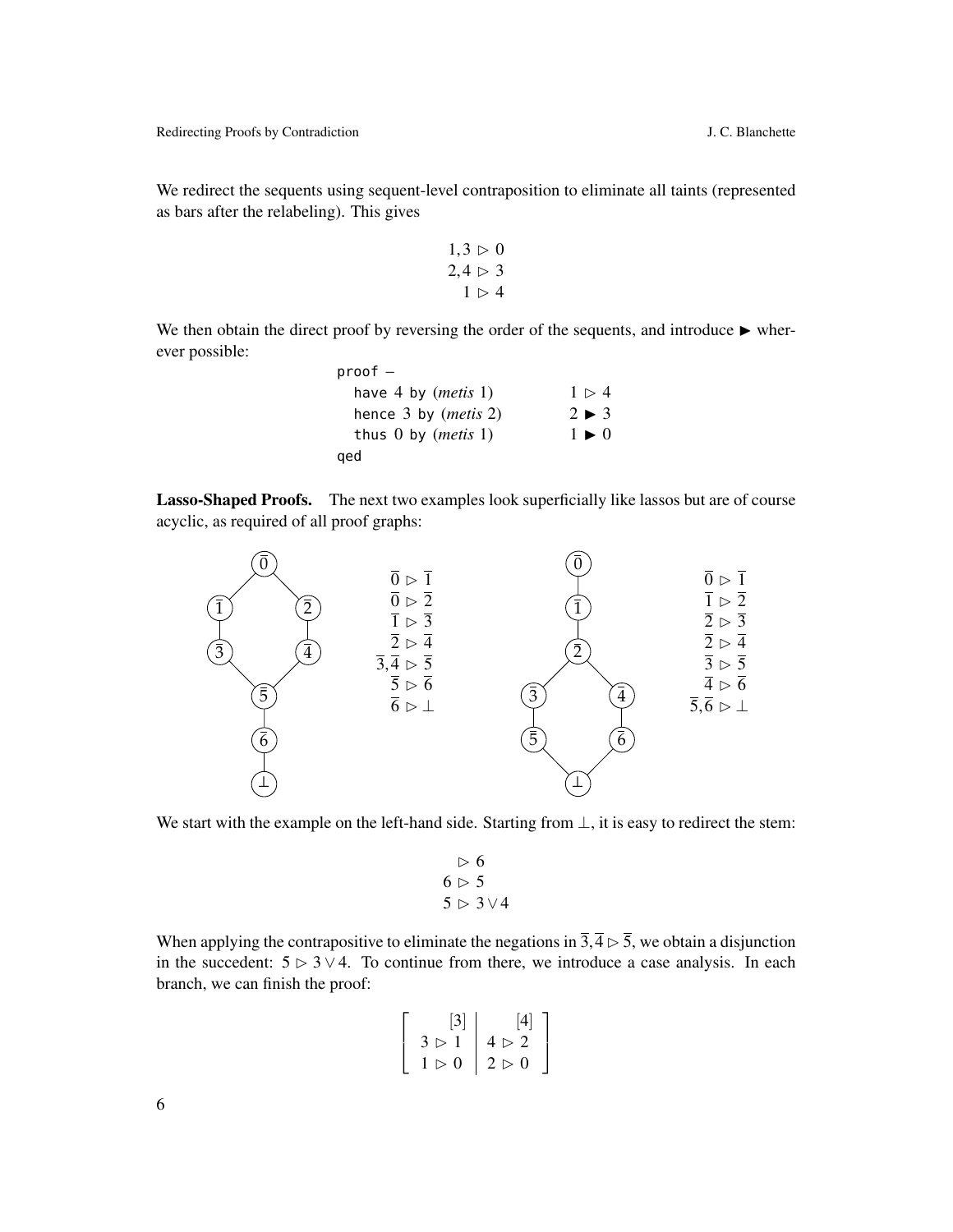We redirect the sequents using sequent-level contraposition to eliminate all taints (represented as bars after the relabeling). This gives

$$
1,3 \rhd 0
$$
  

$$
2,4 \rhd 3
$$
  

$$
1 \rhd 4
$$

We then obtain the direct proof by reversing the order of the sequents, and introduce  $\blacktriangleright$  wherever possible:

| $proof -$                      |                           |
|--------------------------------|---------------------------|
| have 4 by $(metis 1)$          | 1 > 4                     |
| hence $3$ by ( <i>metis</i> 2) | $2 \blacktriangleright 3$ |
| thus $0$ by ( <i>metis</i> 1)  | $1 \triangleright 0$      |
| qed                            |                           |

Lasso-Shaped Proofs. The next two examples look superficially like lassos but are of course acyclic, as required of all proof graphs:



We start with the example on the left-hand side. Starting from  $\bot$ , it is easy to redirect the stem:

$$
\begin{array}{c}\n \triangleright 6 \\
 6 \triangleright 5 \\
 5 \triangleright 3 \vee 4\n\end{array}
$$

When applying the contrapositive to eliminate the negations in  $\overline{3},\overline{4} \rhd \overline{5}$ , we obtain a disjunction in the succedent:  $5 \triangleright 3 \vee 4$ . To continue from there, we introduce a case analysis. In each branch, we can finish the proof:

$$
\left[\begin{array}{c} [3] \\ 3 \rhd 1 \\ 1 \rhd 0 \end{array}\middle|\begin{array}{c} [4] \\ 4 \rhd 2 \\ 2 \rhd 0 \end{array}\right]
$$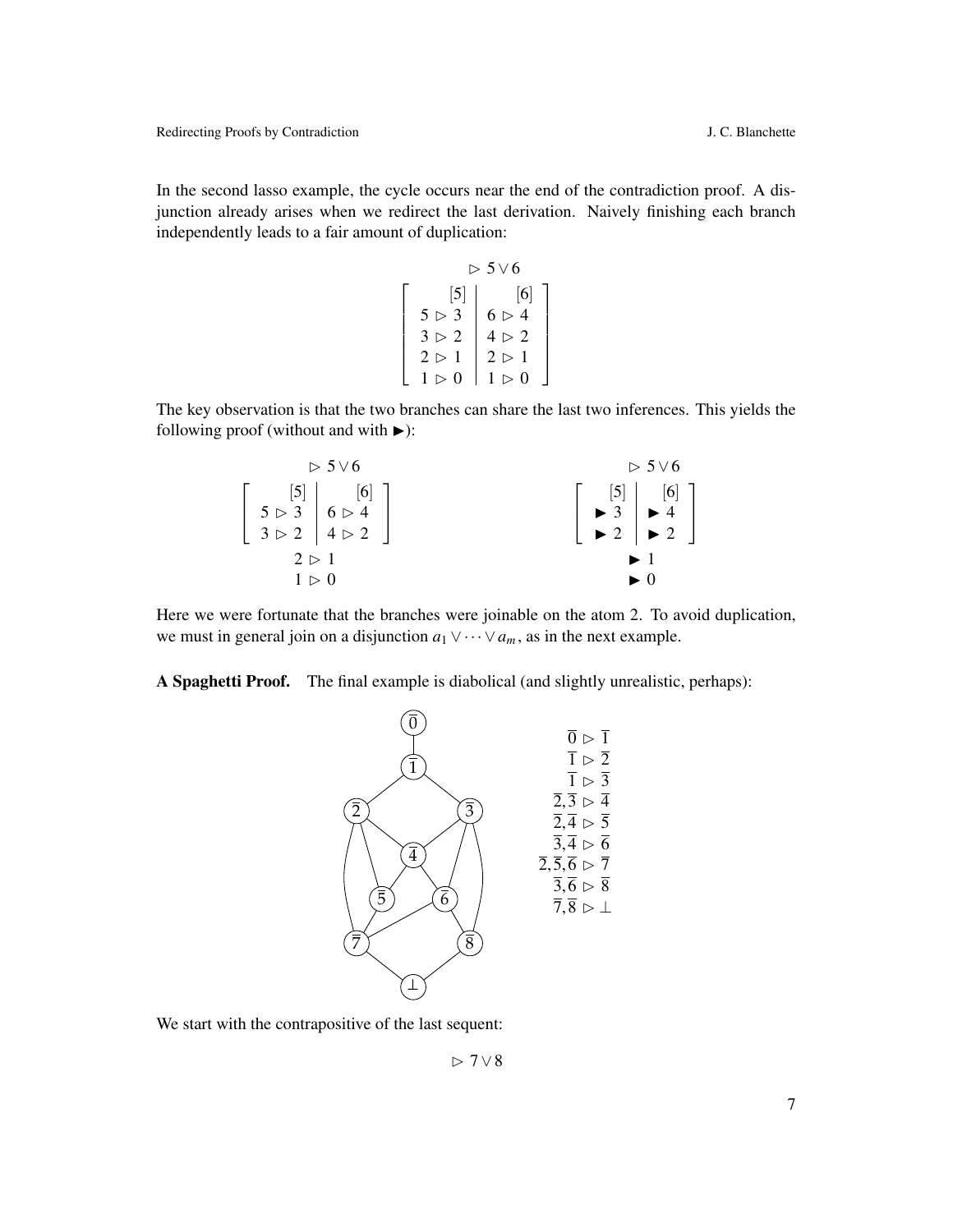In the second lasso example, the cycle occurs near the end of the contradiction proof. A disjunction already arises when we redirect the last derivation. Naively finishing each branch independently leads to a fair amount of duplication:

$$
\begin{bmatrix}\n & & & & & \\
5 & & & 3 \\
3 & & & & \\
2 & & 1 \\
1 & & & & \\
0 & 0 & 1 \\
0 & 0 & 1 \\
0 & 0 & 0\n\end{bmatrix}\n\begin{bmatrix}\n5 \\
6 \\
6 \\
1 \\
2 \\
1 \\
0\n\end{bmatrix}\n\begin{bmatrix}\n6 \\
6 \\
1 \\
2 \\
0 \\
1 \\
0\n\end{bmatrix}
$$

The key observation is that the two branches can share the last two inferences. This yields the following proof (without and with  $\blacktriangleright$ ):

| $> 5 \vee 6$                                                                                                                                  | $> 5 \vee 6$                                                                                                                                                      |
|-----------------------------------------------------------------------------------------------------------------------------------------------|-------------------------------------------------------------------------------------------------------------------------------------------------------------------|
| $\left[\begin{array}{c} [5] \\ 5 \rhd 3 \\ 3 \rhd 2 \end{array}\right] \left[\begin{array}{c} [6] \\ 6 \rhd 4 \\ 4 \rhd 2 \end{array}\right]$ | $\left[\begin{array}{c} [5] \\ \rightarrow 3 \\ \rightarrow 2 \end{array}\right] \left[\begin{array}{c} [6] \\ \rightarrow 4 \\ \rightarrow 2 \end{array}\right]$ |
| 2 > 1                                                                                                                                         |                                                                                                                                                                   |
| 1 > 0                                                                                                                                         | $\blacktriangleright$ 0                                                                                                                                           |

Here we were fortunate that the branches were joinable on the atom 2. To avoid duplication, we must in general join on a disjunction  $a_1 \vee \cdots \vee a_m$ , as in the next example.

A Spaghetti Proof. The final example is diabolical (and slightly unrealistic, perhaps):



We start with the contrapositive of the last sequent:

B 7∨8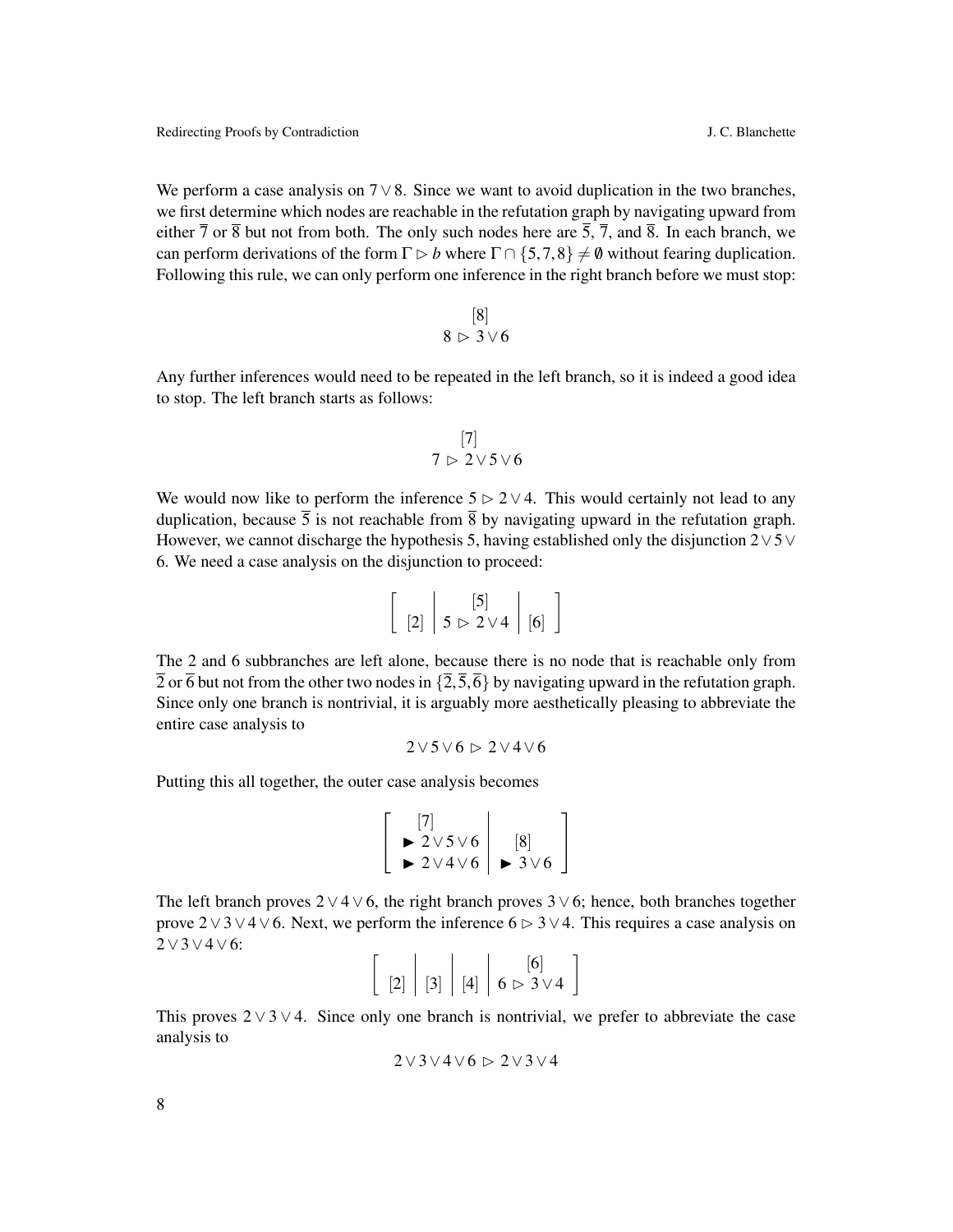We perform a case analysis on  $7 \vee 8$ . Since we want to avoid duplication in the two branches, we first determine which nodes are reachable in the refutation graph by navigating upward from either  $\overline{7}$  or  $\overline{8}$  but not from both. The only such nodes here are  $\overline{5}$ ,  $\overline{7}$ , and  $\overline{8}$ . In each branch, we can perform derivations of the form  $\Gamma \triangleright b$  where  $\Gamma \cap \{5,7,8\} \neq \emptyset$  without fearing duplication. Following this rule, we can only perform one inference in the right branch before we must stop:

$$
\begin{array}{c} [8] \\ 8 \rhd 3 \vee 6 \end{array}
$$

Any further inferences would need to be repeated in the left branch, so it is indeed a good idea to stop. The left branch starts as follows:

$$
\begin{array}{c} [7] \\ 7 \rhd 2 \vee 5 \vee 6 \end{array}
$$

We would now like to perform the inference  $5 \triangleright 2 \vee 4$ . This would certainly not lead to any duplication, because  $\overline{5}$  is not reachable from  $\overline{8}$  by navigating upward in the refutation graph. However, we cannot discharge the hypothesis 5, having established only the disjunction  $2\vee 5\vee$ 6. We need a case analysis on the disjunction to proceed:

| $\begin{bmatrix} 2 \end{bmatrix}$ $\begin{bmatrix} 5 \\ 5 \end{bmatrix}$ $\times$ 2 $\vee$ 4 $\begin{bmatrix} 6 \end{bmatrix}$ |  |
|--------------------------------------------------------------------------------------------------------------------------------|--|

The 2 and 6 subbranches are left alone, because there is no node that is reachable only from  $\overline{2}$  or  $\overline{6}$  but not from the other two nodes in  $\{\overline{2},\overline{5},\overline{6}\}$  by navigating upward in the refutation graph. Since only one branch is nontrivial, it is arguably more aesthetically pleasing to abbreviate the entire case analysis to

$$
2\vee 5\vee 6\vartriangleright 2\vee 4\vee 6
$$

Putting this all together, the outer case analysis becomes

$$
\left[\begin{array}{c} [7] \\ \blacktriangleright 2 \vee 5 \vee 6 \\ \blacktriangleright 2 \vee 4 \vee 6 \end{array}\right] \begin{array}{c} [8] \\ \blacktriangleright 3 \vee 6 \end{array}\right]
$$

The left branch proves  $2 \vee 4 \vee 6$ , the right branch proves  $3 \vee 6$ ; hence, both branches together prove 2∨3∨4∨6. Next, we perform the inference 6  $\triangleright$  3∨4. This requires a case analysis on 2∨3∨4∨6:

|  |  | [6]                                                                                                                 |  |
|--|--|---------------------------------------------------------------------------------------------------------------------|--|
|  |  | $\left[ \begin{array}{c c} 2 \end{array} \right]$ [3] $\left[ 4 \right]$ $\left[ 6 \triangleright 3 \vee 4 \right]$ |  |

This proves  $2 \vee 3 \vee 4$ . Since only one branch is nontrivial, we prefer to abbreviate the case analysis to

$$
2\vee 3\vee 4\vee 6\vartriangleright 2\vee 3\vee 4
$$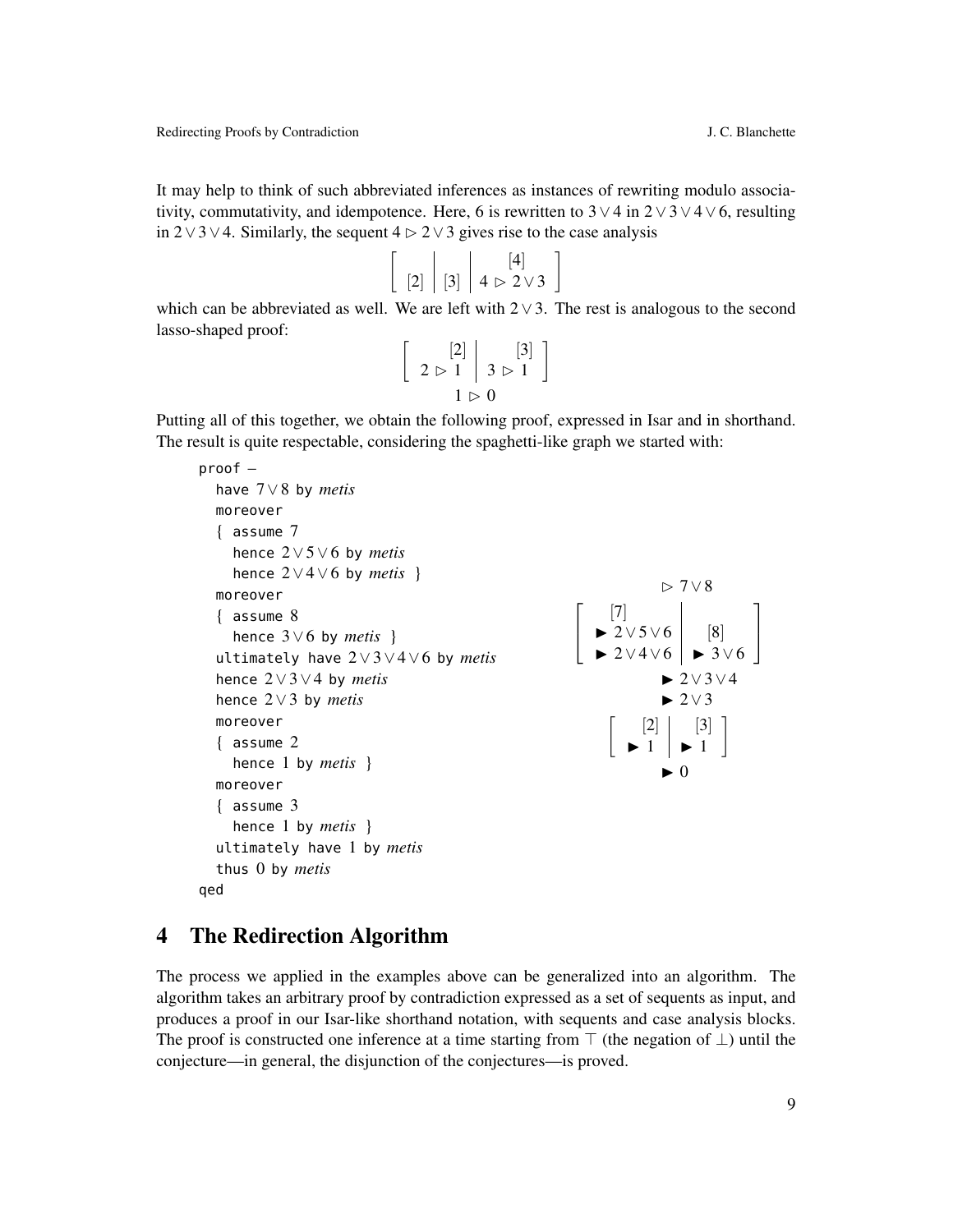B 7∨8

 $\blacktriangleright$  2∨3∨4  $\blacktriangleright$  2∨3

 $\blacktriangleright$  0

[3]  $\blacktriangleright$  1

1

 $\blacktriangleright$  1

[8]  $\blacktriangleright$  3  $\vee$  6 1  $\vert$ 

It may help to think of such abbreviated inferences as instances of rewriting modulo associativity, commutativity, and idempotence. Here, 6 is rewritten to  $3 \vee 4$  in  $2 \vee 3 \vee 4 \vee 6$ , resulting in 2∨3∨4. Similarly, the sequent  $4 \triangleright 2 \triangleright 3$  gives rise to the case analysis

$$
\left[\begin{array}{c|c} 2 & 3 & 4 \end{array}\right] = \left[\begin{array}{c} 4 & 4 \\ 4 & 2 \end{array}\right]
$$

which can be abbreviated as well. We are left with  $2 \vee 3$ . The rest is analogous to the second lasso-shaped proof:

$$
\left[\begin{array}{c} [2] \\ 2 \rhd 1 \end{array}\middle| \begin{array}{c} [3] \\ 3 \rhd 1 \end{array}\right]
$$

$$
1 \rhd 0
$$

Putting all of this together, we obtain the following proof, expressed in Isar and in shorthand. The result is quite respectable, considering the spaghetti-like graph we started with:

```
proof –
  have 7∨8 by metis
  moreover
  { assume 7
    hence 2∨5∨6 by metis
    hence 2∨4∨6 by metis }
  moreover
  { assume 8
    hence 3∨6 by metis }
  ultimately have 2∨3∨4∨6 by metis
  hence 2∨3∨4 by metis
  hence 2∨3 by metis
  moreover
  { assume 2
    hence 1 by metis }
  moreover
  { assume 3
    hence 1 by metis }
  ultimately have 1 by metis
  thus 0 by metis
qed
                                                      \sqrt{ }\overline{1}[7]
                                                         \blacktriangleright 2∨5∨6
                                                         \blacktriangleright 2∨4∨6
                                                           \lceil [2]
```
#### <span id="page-8-0"></span>4 The Redirection Algorithm

The process we applied in the examples above can be generalized into an algorithm. The algorithm takes an arbitrary proof by contradiction expressed as a set of sequents as input, and produces a proof in our Isar-like shorthand notation, with sequents and case analysis blocks. The proof is constructed one inference at a time starting from  $\top$  (the negation of  $\bot$ ) until the conjecture—in general, the disjunction of the conjectures—is proved.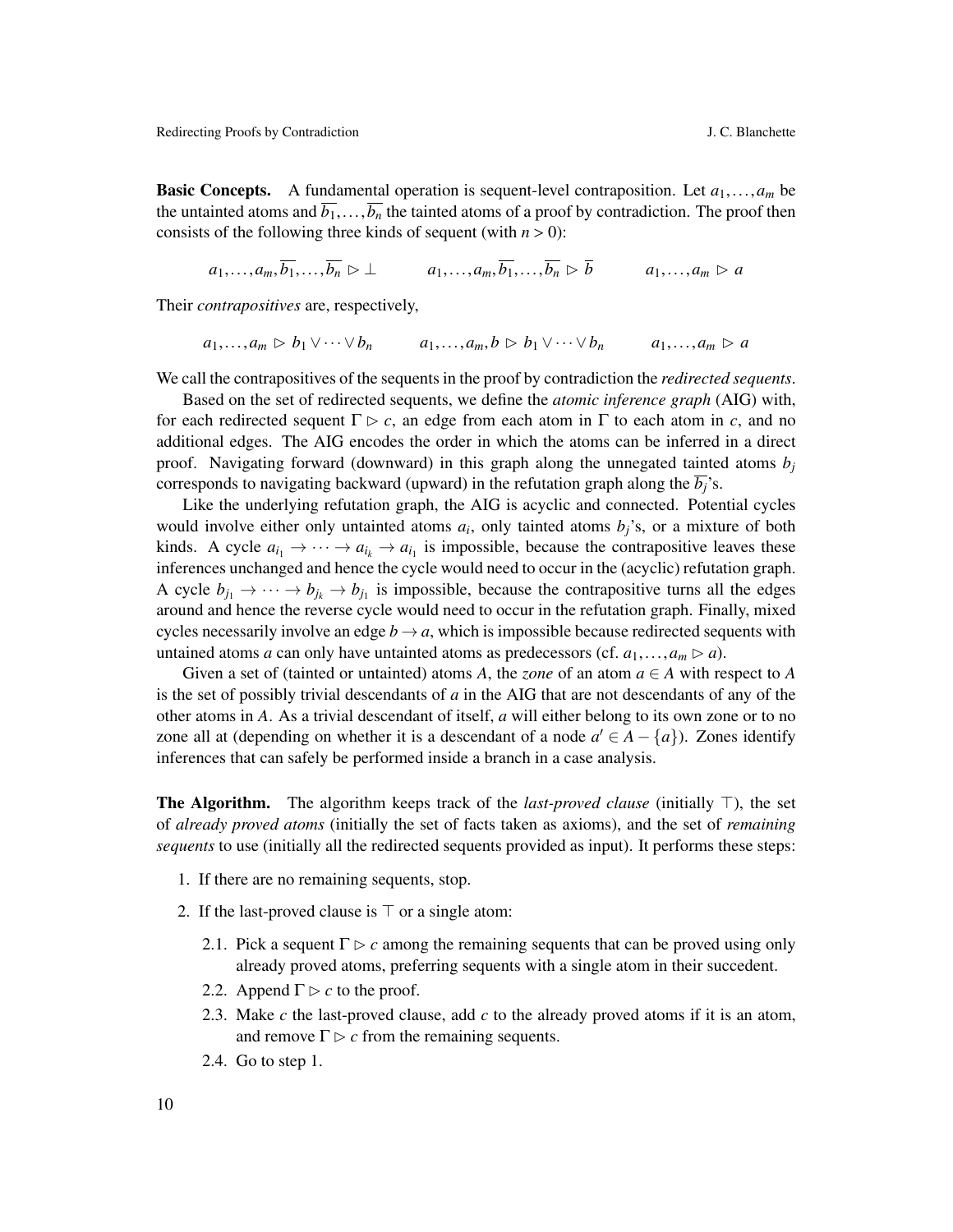**Basic Concepts.** A fundamental operation is sequent-level contraposition. Let  $a_1, \ldots, a_m$  be the untainted atoms and  $\overline{b_1}, \ldots, \overline{b_n}$  the tainted atoms of a proof by contradiction. The proof then consists of the following three kinds of sequent (with  $n > 0$ ):

$$
a_1,\ldots,a_m,\overline{b_1},\ldots,\overline{b_n}\triangleright \bot a_1,\ldots,a_m,\overline{b_1},\ldots,\overline{b_n}\triangleright \overline{b} \qquad a_1,\ldots,a_m\triangleright a
$$

Their *contrapositives* are, respectively,

$$
a_1,\ldots,a_m \triangleright b_1 \vee \cdots \vee b_n \qquad a_1,\ldots,a_m,b \triangleright b_1 \vee \cdots \vee b_n \qquad a_1,\ldots,a_m \triangleright a
$$

We call the contrapositives of the sequents in the proof by contradiction the *redirected sequents*.

Based on the set of redirected sequents, we define the *atomic inference graph* (AIG) with, for each redirected sequent  $\Gamma \triangleright c$ , an edge from each atom in  $\Gamma$  to each atom in *c*, and no additional edges. The AIG encodes the order in which the atoms can be inferred in a direct proof. Navigating forward (downward) in this graph along the unnegated tainted atoms  $b_j$ corresponds to navigating backward (upward) in the refutation graph along the  $\overline{b_i}$ 's.

Like the underlying refutation graph, the AIG is acyclic and connected. Potential cycles would involve either only untainted atoms  $a_i$ , only tainted atoms  $b_j$ 's, or a mixture of both kinds. A cycle  $a_{i_1} \to \cdots \to a_{i_k} \to a_{i_1}$  is impossible, because the contrapositive leaves these inferences unchanged and hence the cycle would need to occur in the (acyclic) refutation graph. A cycle  $b_{j_1} \to \cdots \to b_{j_k} \to b_{j_1}$  is impossible, because the contrapositive turns all the edges around and hence the reverse cycle would need to occur in the refutation graph. Finally, mixed cycles necessarily involve an edge  $b \rightarrow a$ , which is impossible because redirected sequents with untained atoms *a* can only have untainted atoms as predecessors (cf.  $a_1, \ldots, a_m \triangleright a$ ).

Given a set of (tainted or untainted) atoms *A*, the *zone* of an atom  $a \in A$  with respect to *A* is the set of possibly trivial descendants of *a* in the AIG that are not descendants of any of the other atoms in *A*. As a trivial descendant of itself, *a* will either belong to its own zone or to no zone all at (depending on whether it is a descendant of a node  $a' \in A - \{a\}$ ). Zones identify inferences that can safely be performed inside a branch in a case analysis.

**The Algorithm.** The algorithm keeps track of the *last-proved clause* (initially  $\top$ ), the set of *already proved atoms* (initially the set of facts taken as axioms), and the set of *remaining sequents* to use (initially all the redirected sequents provided as input). It performs these steps:

- 1. If there are no remaining sequents, stop.
- 2. If the last-proved clause is  $\top$  or a single atom:
	- 2.1. Pick a sequent  $\Gamma \triangleright c$  among the remaining sequents that can be proved using only already proved atoms, preferring sequents with a single atom in their succedent.
	- 2.2. Append  $\Gamma \triangleright c$  to the proof.
	- 2.3. Make *c* the last-proved clause, add *c* to the already proved atoms if it is an atom, and remove  $\Gamma \triangleright c$  from the remaining sequents.
	- 2.4. Go to step 1.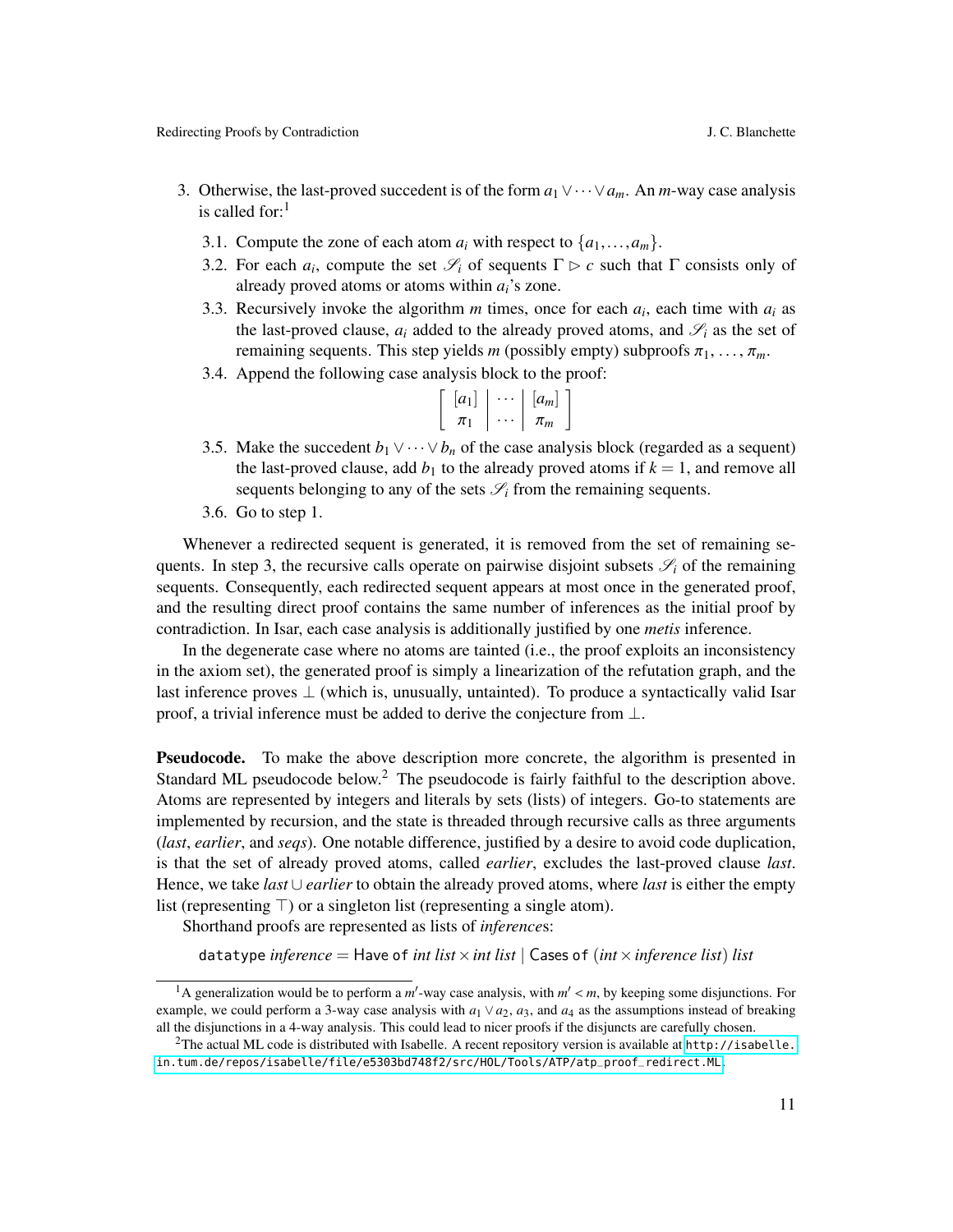- 3. Otherwise, the last-proved succedent is of the form *a*1∨···∨*am*. An *m*-way case analysis is called for: $<sup>1</sup>$ </sup>
	- 3.1. Compute the zone of each atom  $a_i$  with respect to  $\{a_1, \ldots, a_m\}$ .
	- 3.2. For each  $a_i$ , compute the set  $\mathscr{S}_i$  of sequents  $\Gamma \triangleright c$  such that  $\Gamma$  consists only of already proved atoms or atoms within *ai*'s zone.
	- 3.3. Recursively invoke the algorithm  $m$  times, once for each  $a_i$ , each time with  $a_i$  as the last-proved clause,  $a_i$  added to the already proved atoms, and  $\mathcal{S}_i$  as the set of remaining sequents. This step yields *m* (possibly empty) subproofs  $\pi_1, \ldots, \pi_m$ .
	- 3.4. Append the following case analysis block to the proof:

| $ a_1 $ | $ a_m $ |
|---------|---------|
|         | $\pi_m$ |
|         |         |

- 3.5. Make the succedent  $b_1 \vee \cdots \vee b_n$  of the case analysis block (regarded as a sequent) the last-proved clause, add  $b_1$  to the already proved atoms if  $k = 1$ , and remove all sequents belonging to any of the sets  $\mathcal{S}_i$  from the remaining sequents.
- 3.6. Go to step 1.

Whenever a redirected sequent is generated, it is removed from the set of remaining sequents. In step 3, the recursive calls operate on pairwise disjoint subsets  $\mathscr{S}_i$  of the remaining sequents. Consequently, each redirected sequent appears at most once in the generated proof, and the resulting direct proof contains the same number of inferences as the initial proof by contradiction. In Isar, each case analysis is additionally justified by one *metis* inference.

In the degenerate case where no atoms are tainted (i.e., the proof exploits an inconsistency in the axiom set), the generated proof is simply a linearization of the refutation graph, and the last inference proves  $\perp$  (which is, unusually, untainted). To produce a syntactically valid Isar proof, a trivial inference must be added to derive the conjecture from ⊥.

Pseudocode. To make the above description more concrete, the algorithm is presented in Standard ML pseudocode below.<sup>2</sup> The pseudocode is fairly faithful to the description above. Atoms are represented by integers and literals by sets (lists) of integers. Go-to statements are implemented by recursion, and the state is threaded through recursive calls as three arguments (*last*, *earlier*, and *seqs*). One notable difference, justified by a desire to avoid code duplication, is that the set of already proved atoms, called *earlier*, excludes the last-proved clause *last*. Hence, we take *last* ∪ *earlier* to obtain the already proved atoms, where *last* is either the empty list (representing  $\top$ ) or a singleton list (representing a single atom).

Shorthand proofs are represented as lists of *inference*s:

datatype *inference* = Have of *int list*  $\times$  *int list* | Cases of *(int*  $\times$  *inference list) list* 

<sup>&</sup>lt;sup>1</sup>A generalization would be to perform a *m'*-way case analysis, with  $m' < m$ , by keeping some disjunctions. For male we could perform a 3-way case analysis with  $a_1 \vee a_2$ , and  $a_3$  as the assumptions instead of breaki example, we could perform a 3-way case analysis with  $a_1 \vee a_2$ ,  $a_3$ , and  $a_4$  as the assumptions instead of breaking all the disjunctions in a 4-way analysis. This could lead to nicer proofs if the disjuncts are carefully chosen.

<sup>&</sup>lt;sup>2</sup>The actual ML code is distributed with Isabelle. A recent repository version is available at [http://isabelle.](http://isabelle.in.tum.de/repos/isabelle/file/e5303bd748f2/src/HOL/Tools/ATP/atp_proof_redirect.ML) [in.tum.de/repos/isabelle/file/e5303bd748f2/src/HOL/Tools/ATP/atp\\_proof\\_redirect.ML](http://isabelle.in.tum.de/repos/isabelle/file/e5303bd748f2/src/HOL/Tools/ATP/atp_proof_redirect.ML).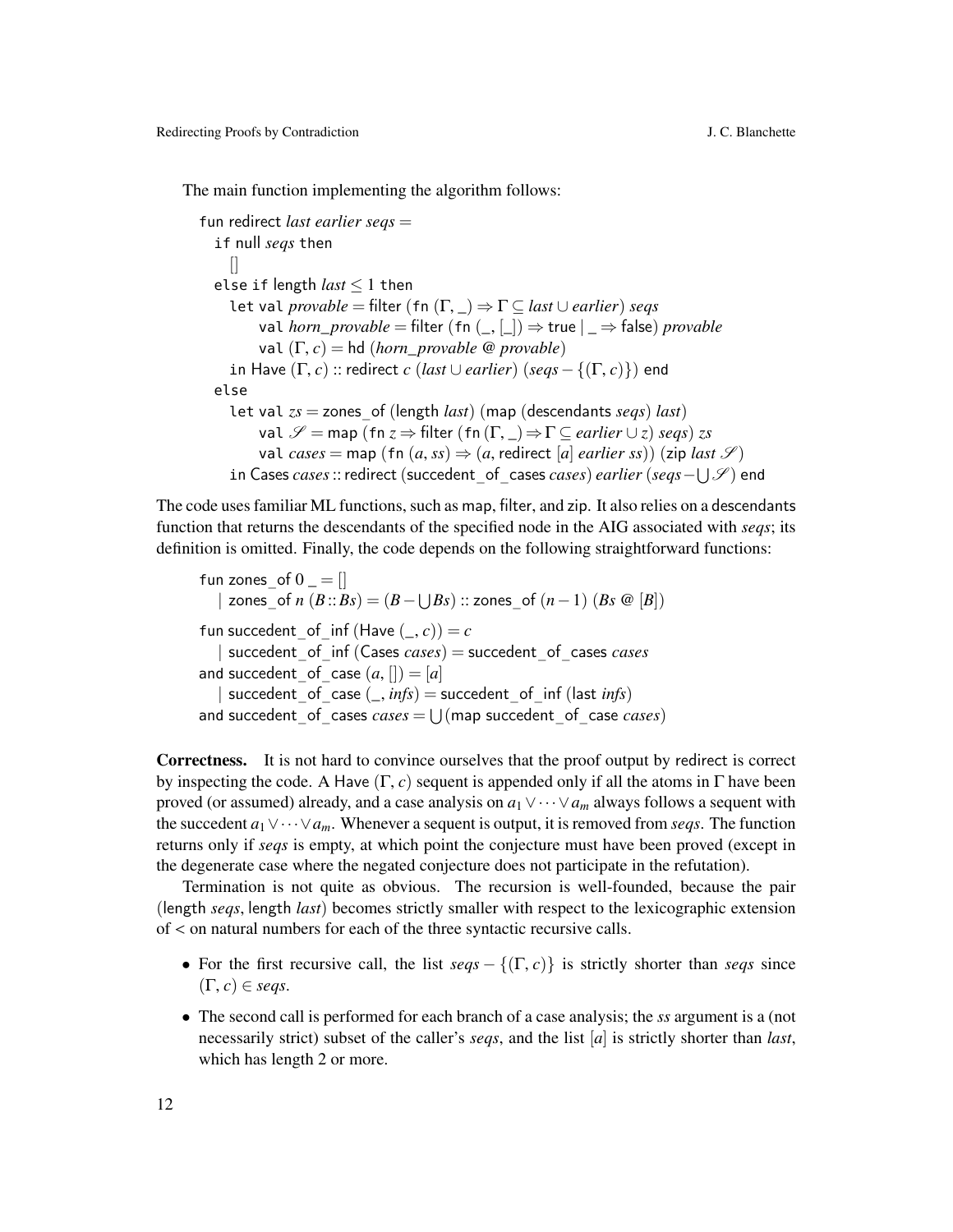The main function implementing the algorithm follows:

```
fun redirect last earlier seqs =
  if null seqs then
    \prodelse if length last ≤ 1 then
    let val provable = filter (fn (Γ, _) ⇒ Γ ⊆ last ∪ earlier) seqs
         val horn_provable = filter (fn (, |) \Rightarrow true | \Rightarrow false) provable
         val (Γ, c) = hd (horn_provable @ provable)
    in Have (\Gamma, c) :: redirect c (last ∪ earlier) (seqs - {(\Gamma, c)}) end
  else
    let val zs = zones_of (length last) (map (descendants seqs) last)
         val \mathscr{S} = map (fn z \Rightarrow filter (fn (\Gamma, \square) \Rightarrow \Gamma \subseteq earlier \cup z) seqs) zs
         val cases = map (fn (a, ss) \Rightarrow (a, redirect [a] earlier ss)) (zip last S)in Cases cases::redirect (succedent_of_cases cases) earlier (seqs−
S
S ) end
```
The code uses familiar ML functions, such as map, filter, and zip. It also relies on a descendants function that returns the descendants of the specified node in the AIG associated with *seqs*; its definition is omitted. Finally, the code depends on the following straightforward functions:

fun zones of  $0 =$   $||$ | zones\_of *n*  $(B::Bs) = (B − ∪Bs) :: zones_of (n − 1) (Bs @ [B])$ fun succedent of inf (Have  $($ , *c*)) = *c* | succedent\_of\_inf (Cases *cases*) = succedent\_of\_cases *cases* and succedent of case  $(a, [] = [a]$ | succedent of case  $(\_, \textit{info})$  = succedent of inf (last *infs*) and succedent\_of\_cases  $cases = \bigcup (map$  succedent\_of\_case  $cases$ )

Correctness. It is not hard to convince ourselves that the proof output by redirect is correct by inspecting the code. A Have  $(\Gamma, c)$  sequent is appended only if all the atoms in  $\Gamma$  have been proved (or assumed) already, and a case analysis on  $a_1 \vee \cdots \vee a_m$  always follows a sequent with the succedent *a*1∨···∨*am*. Whenever a sequent is output, it is removed from *seqs*. The function returns only if *seqs* is empty, at which point the conjecture must have been proved (except in the degenerate case where the negated conjecture does not participate in the refutation).

Termination is not quite as obvious. The recursion is well-founded, because the pair (length *seqs*, length *last*) becomes strictly smaller with respect to the lexicographic extension of < on natural numbers for each of the three syntactic recursive calls.

- For the first recursive call, the list  $segs \{(T, c)\}\)$  is strictly shorter than *seqs* since  $(\Gamma, c) \in \text{seas}.$
- The second call is performed for each branch of a case analysis; the *ss* argument is a (not necessarily strict) subset of the caller's *seqs*, and the list [*a*] is strictly shorter than *last*, which has length 2 or more.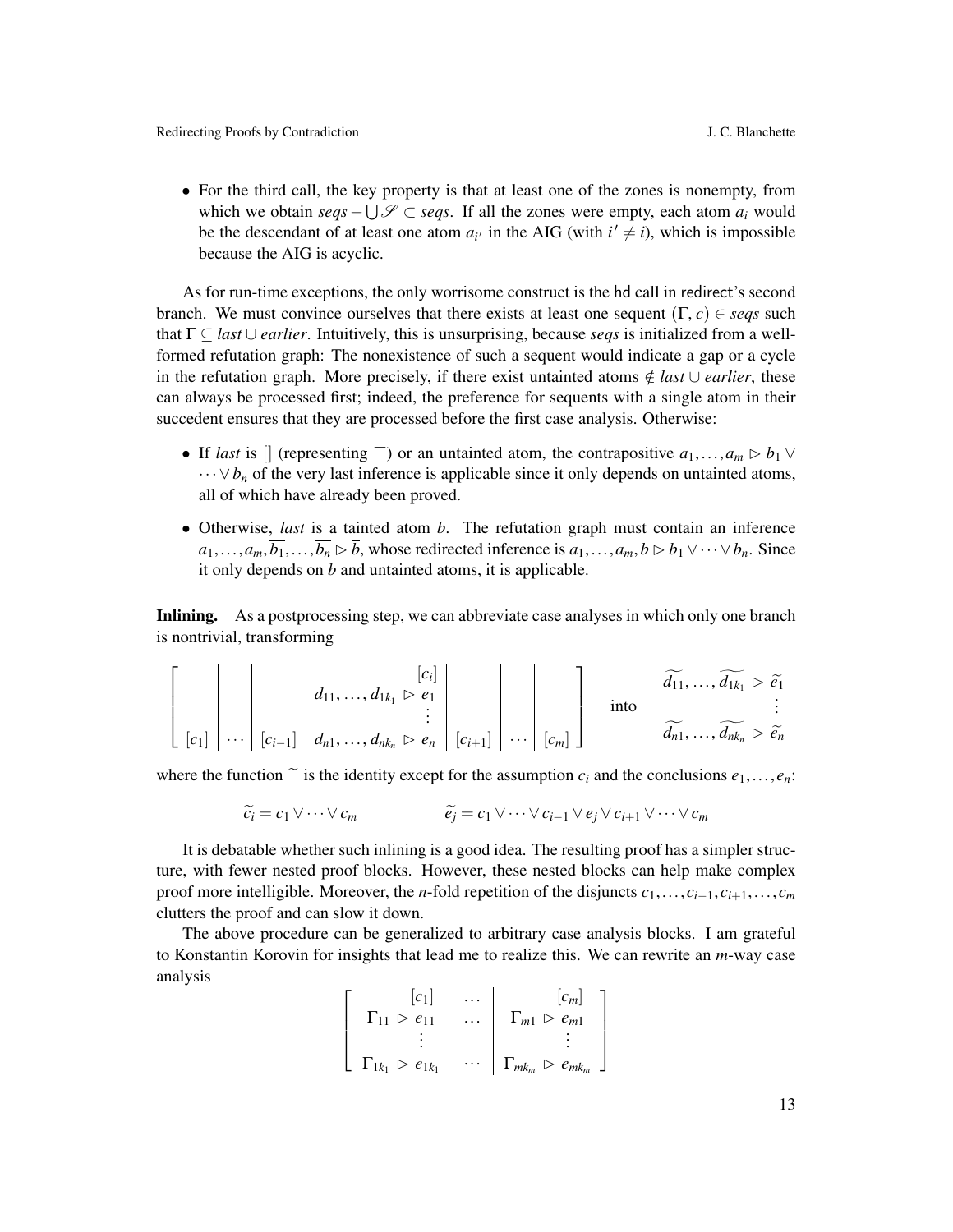• For the third call, the key property is that at least one of the zones is nonempty, from which we obtain  $\text{seq } s - \bigcup \mathcal{S}$  ⊂ *seqs*. If all the zones were empty, each atom  $a_i$  would be the descendant of at least one atom  $a_i$  in the AIG (with  $i' \neq i$ ), which is impossible because the AIG is acyclic.

As for run-time exceptions, the only worrisome construct is the hd call in redirect's second branch. We must convince ourselves that there exists at least one sequent (Γ, *<sup>c</sup>*) <sup>∈</sup> *seqs* such that Γ ⊆ *last* ∪ *earlier*. Intuitively, this is unsurprising, because *seqs* is initialized from a wellformed refutation graph: The nonexistence of such a sequent would indicate a gap or a cycle in the refutation graph. More precisely, if there exist untainted atoms  $\notin$  *last* ∪ *earlier*, these can always be processed first; indeed, the preference for sequents with a single atom in their succedent ensures that they are processed before the first case analysis. Otherwise:

- If *last* is  $[$  (representing  $\top$ ) or an untainted atom, the contrapositive  $a_1, \ldots, a_m \triangleright b_1 \vee$  $\cdots \vee b_n$  of the very last inference is applicable since it only depends on untainted atoms, all of which have already been proved.
- Otherwise, *last* is a tainted atom *b*. The refutation graph must contain an inference  $a_1, \ldots, a_m, \overline{b_1}, \ldots, \overline{b_n} \triangleright \overline{b}$ , whose redirected inference is  $a_1, \ldots, a_m, b \triangleright b_1 \vee \cdots \vee b_n$ . Since it only depends on *b* and untainted atoms, it is applicable.

Inlining. As a postprocessing step, we can abbreviate case analyses in which only one branch is nontrivial, transforming

 [*ci* ] *<sup>d</sup>*11, ..., *<sup>d</sup>*1*k*<sup>1</sup> <sup>B</sup> *<sup>e</sup>*<sup>1</sup> . . . [*c*1] ··· [*ci*−1] *<sup>d</sup>n*1, ..., *<sup>d</sup>nk<sup>n</sup>* <sup>B</sup> *<sup>e</sup><sup>n</sup>* [*ci*+1] ··· [*cm*] into *<sup>d</sup>*f11, ..., *<sup>d</sup>*g1*k*<sup>1</sup> <sup>B</sup> *<sup>e</sup>*e<sup>1</sup> . . . *<sup>d</sup>*f*n*1, ..., *<sup>d</sup>*g*nk<sup>n</sup>* <sup>B</sup> *<sup>e</sup>*e*<sup>n</sup>*

where the function  $\tilde{c}$  is the identity except for the assumption  $c_i$  and the conclusions  $e_1, \ldots, e_n$ :

$$
\widetilde{c_i} = c_1 \vee \cdots \vee c_m \qquad \qquad \widetilde{e_j} = c_1 \vee \cdots \vee c_{i-1} \vee e_j \vee c_{i+1} \vee \cdots \vee c_m
$$

It is debatable whether such inlining is a good idea. The resulting proof has a simpler structure, with fewer nested proof blocks. However, these nested blocks can help make complex proof more intelligible. Moreover, the *n*-fold repetition of the disjuncts  $c_1, \ldots, c_{i-1}, c_{i+1}, \ldots, c_m$ clutters the proof and can slow it down.

The above procedure can be generalized to arbitrary case analysis blocks. I am grateful to Konstantin Korovin for insights that lead me to realize this. We can rewrite an *m*-way case analysis

| $ c_1 $                                 |          | $ c_m $                                       |
|-----------------------------------------|----------|-----------------------------------------------|
| $e_{11}$                                |          | $\Gamma_{m1} \triangleright e_{m1}$           |
|                                         |          |                                               |
| $\Gamma_{1k_1} \triangleright e_{1k_1}$ | $\cdots$ | $\Gamma_{mk_m} \triangleright e_{mk_m} \perp$ |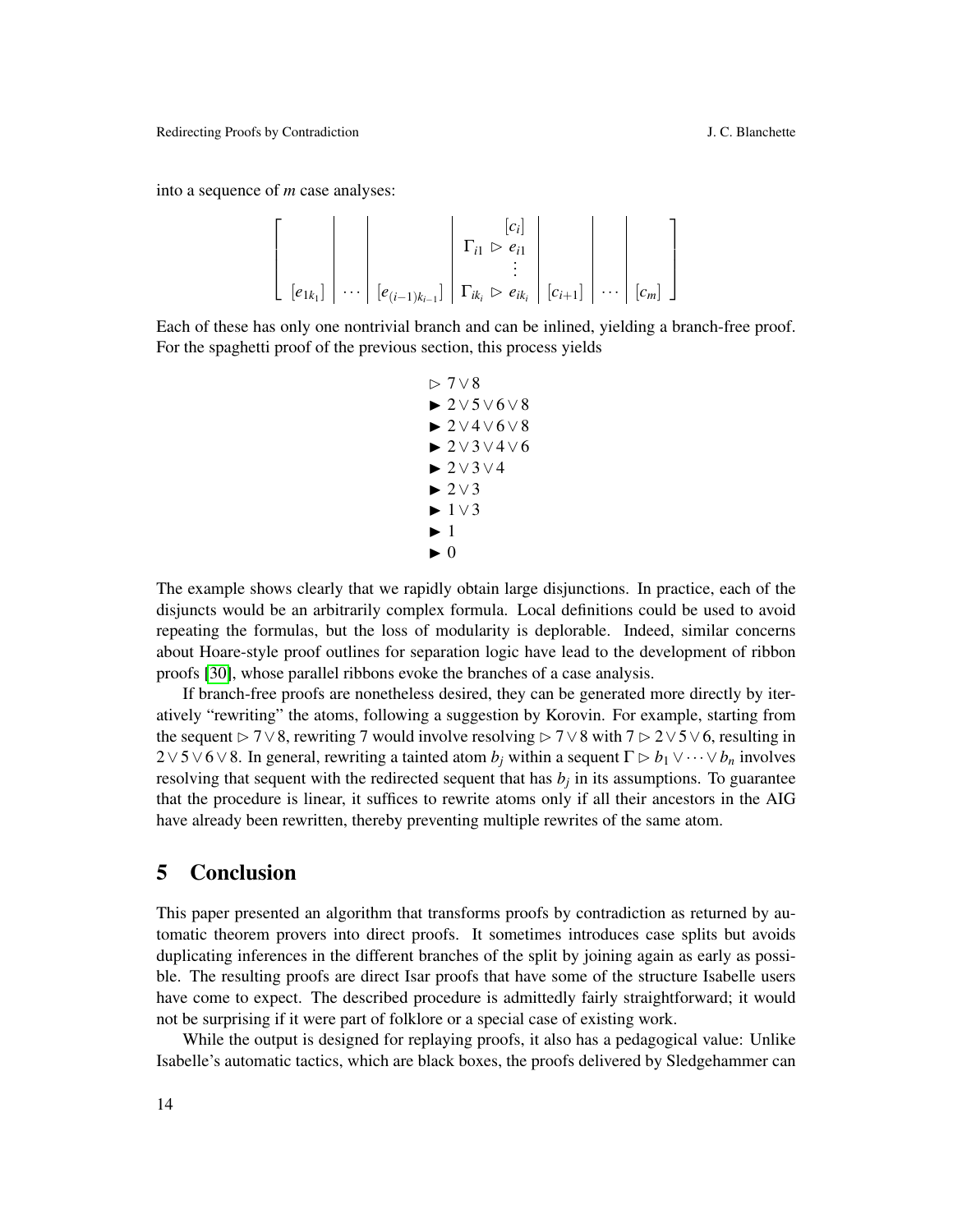into a sequence of *m* case analyses:

$$
\left[\begin{array}{c|c} \mathbf{c}_{i} & \mathbf{c}_{i} & \mathbf{c}_{i} \\ \hline \mathbf{c}_{i} & \mathbf{c}_{i} & \mathbf{c}_{i} \\ \mathbf{c}_{i} & \mathbf{c}_{i} & \mathbf{c}_{i} \\ \mathbf{c}_{i} & \mathbf{c}_{i} & \mathbf{c}_{i} \end{array}\right] \begin{array}{c|c} \mathbf{c}_{i} & \mathbf{c}_{i} & \mathbf{c}_{i} \\ \hline \mathbf{c}_{i} & \mathbf{c}_{i} & \mathbf{c}_{i} \\ \hline \mathbf{c}_{i+1} & \mathbf{c}_{i+1} & \mathbf{c}_{i} \\ \hline \mathbf{c}_{i+1} & \mathbf{c}_{i+1} & \mathbf{c}_{i} \end{array}\right]
$$

Each of these has only one nontrivial branch and can be inlined, yielding a branch-free proof. For the spaghetti proof of the previous section, this process yields

$$
\triangleright 7\vee 8
$$
\n
$$
\triangleright 2\vee 5\vee 6\vee 8
$$
\n
$$
\triangleright 2\vee 4\vee 6\vee 8
$$
\n
$$
\triangleright 2\vee 3\vee 4\vee 6
$$
\n
$$
\triangleright 2\vee 3\vee 4
$$
\n
$$
\triangleright 2\vee 3\vee 4
$$
\n
$$
\triangleright 2\vee 3
$$
\n
$$
\triangleright 1\vee 3
$$
\n
$$
\triangleright 1
$$
\n
$$
\triangleright 0
$$

The example shows clearly that we rapidly obtain large disjunctions. In practice, each of the disjuncts would be an arbitrarily complex formula. Local definitions could be used to avoid repeating the formulas, but the loss of modularity is deplorable. Indeed, similar concerns about Hoare-style proof outlines for separation logic have lead to the development of ribbon proofs [\[30\]](#page-15-14), whose parallel ribbons evoke the branches of a case analysis.

If branch-free proofs are nonetheless desired, they can be generated more directly by iteratively "rewriting" the atoms, following a suggestion by Korovin. For example, starting from the sequent  $\triangleright$  7∨8, rewriting 7 would involve resolving  $\triangleright$  7∨8 with 7  $\triangleright$  2∨5∨6, resulting in  $2 \vee 5 \vee 6 \vee 8$ . In general, rewriting a tainted atom *b<sub>i</sub>* within a sequent  $\Gamma \triangleright b_1 \vee \cdots \vee b_n$  involves resolving that sequent with the redirected sequent that has  $b_j$  in its assumptions. To guarantee that the procedure is linear, it suffices to rewrite atoms only if all their ancestors in the AIG have already been rewritten, thereby preventing multiple rewrites of the same atom.

### 5 Conclusion

This paper presented an algorithm that transforms proofs by contradiction as returned by automatic theorem provers into direct proofs. It sometimes introduces case splits but avoids duplicating inferences in the different branches of the split by joining again as early as possible. The resulting proofs are direct Isar proofs that have some of the structure Isabelle users have come to expect. The described procedure is admittedly fairly straightforward; it would not be surprising if it were part of folklore or a special case of existing work.

While the output is designed for replaying proofs, it also has a pedagogical value: Unlike Isabelle's automatic tactics, which are black boxes, the proofs delivered by Sledgehammer can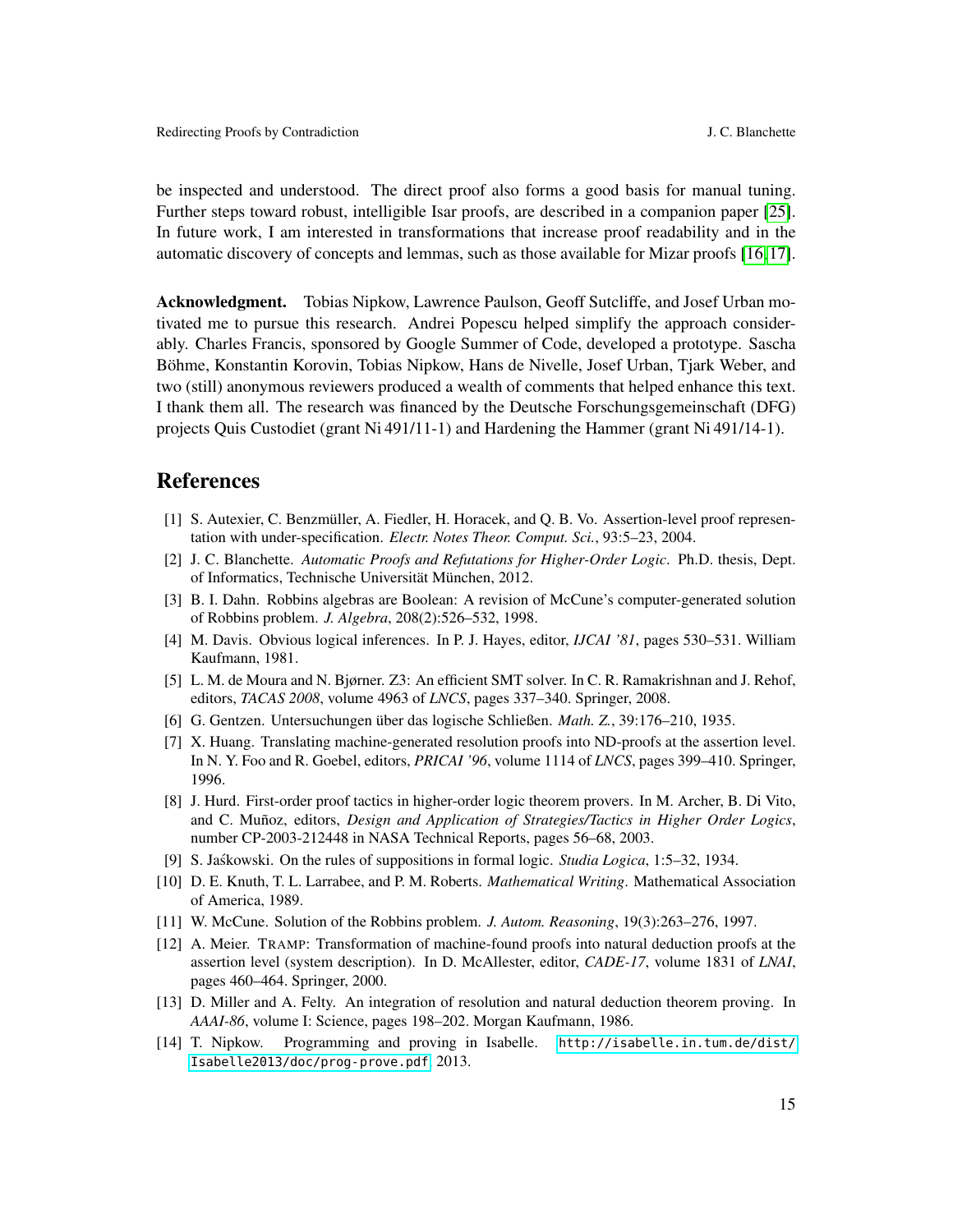be inspected and understood. The direct proof also forms a good basis for manual tuning. Further steps toward robust, intelligible Isar proofs, are described in a companion paper [\[25\]](#page-15-12). In future work, I am interested in transformations that increase proof readability and in the automatic discovery of concepts and lemmas, such as those available for Mizar proofs [\[16,](#page-15-15) [17\]](#page-15-16).

Acknowledgment. Tobias Nipkow, Lawrence Paulson, Geoff Sutcliffe, and Josef Urban motivated me to pursue this research. Andrei Popescu helped simplify the approach considerably. Charles Francis, sponsored by Google Summer of Code, developed a prototype. Sascha Böhme, Konstantin Korovin, Tobias Nipkow, Hans de Nivelle, Josef Urban, Tjark Weber, and two (still) anonymous reviewers produced a wealth of comments that helped enhance this text. I thank them all. The research was financed by the Deutsche Forschungsgemeinschaft (DFG) projects Quis Custodiet (grant Ni 491/11-1) and Hardening the Hammer (grant Ni 491/14-1).

#### References

- <span id="page-14-4"></span>[1] S. Autexier, C. Benzmüller, A. Fiedler, H. Horacek, and Q. B. Vo. Assertion-level proof representation with under-specification. *Electr. Notes Theor. Comput. Sci.*, 93:5–23, 2004.
- <span id="page-14-10"></span>[2] J. C. Blanchette. *Automatic Proofs and Refutations for Higher-Order Logic*. Ph.D. thesis, Dept. of Informatics, Technische Universität München, 2012.
- <span id="page-14-8"></span>[3] B. I. Dahn. Robbins algebras are Boolean: A revision of McCune's computer-generated solution of Robbins problem. *J. Algebra*, 208(2):526–532, 1998.
- <span id="page-14-7"></span>[4] M. Davis. Obvious logical inferences. In P. J. Hayes, editor, *IJCAI '81*, pages 530–531. William Kaufmann, 1981.
- <span id="page-14-1"></span>[5] L. M. de Moura and N. Bjørner. Z3: An efficient SMT solver. In C. R. Ramakrishnan and J. Rehof, editors, *TACAS 2008*, volume 4963 of *LNCS*, pages 337–340. Springer, 2008.
- <span id="page-14-13"></span>[6] G. Gentzen. Untersuchungen über das logische Schließen. *Math. Z.*, 39:176–210, 1935.
- <span id="page-14-5"></span>[7] X. Huang. Translating machine-generated resolution proofs into ND-proofs at the assertion level. In N. Y. Foo and R. Goebel, editors, *PRICAI '96*, volume 1114 of *LNCS*, pages 399–410. Springer, 1996.
- <span id="page-14-2"></span>[8] J. Hurd. First-order proof tactics in higher-order logic theorem provers. In M. Archer, B. Di Vito, and C. Muñoz, editors, *Design and Application of Strategies/Tactics in Higher Order Logics*, number CP-2003-212448 in NASA Technical Reports, pages 56–68, 2003.
- <span id="page-14-12"></span>[9] S. Jaskowski. On the rules of suppositions in formal logic. *Studia Logica*, 1:5–32, 1934.
- <span id="page-14-9"></span>[10] D. E. Knuth, T. L. Larrabee, and P. M. Roberts. *Mathematical Writing*. Mathematical Association of America, 1989.
- <span id="page-14-0"></span>[11] W. McCune. Solution of the Robbins problem. *J. Autom. Reasoning*, 19(3):263–276, 1997.
- <span id="page-14-6"></span>[12] A. Meier. TRAMP: Transformation of machine-found proofs into natural deduction proofs at the assertion level (system description). In D. McAllester, editor, *CADE-17*, volume 1831 of *LNAI*, pages 460–464. Springer, 2000.
- <span id="page-14-3"></span>[13] D. Miller and A. Felty. An integration of resolution and natural deduction theorem proving. In *AAAI-86*, volume I: Science, pages 198–202. Morgan Kaufmann, 1986.
- <span id="page-14-11"></span>[14] T. Nipkow. Programming and proving in Isabelle. [http://isabelle.in.tum.de/dist/](http://isabelle.in.tum.de/dist/Isabelle2013/doc/prog-prove.pdf) [Isabelle2013/doc/prog-prove.pdf](http://isabelle.in.tum.de/dist/Isabelle2013/doc/prog-prove.pdf), 2013.